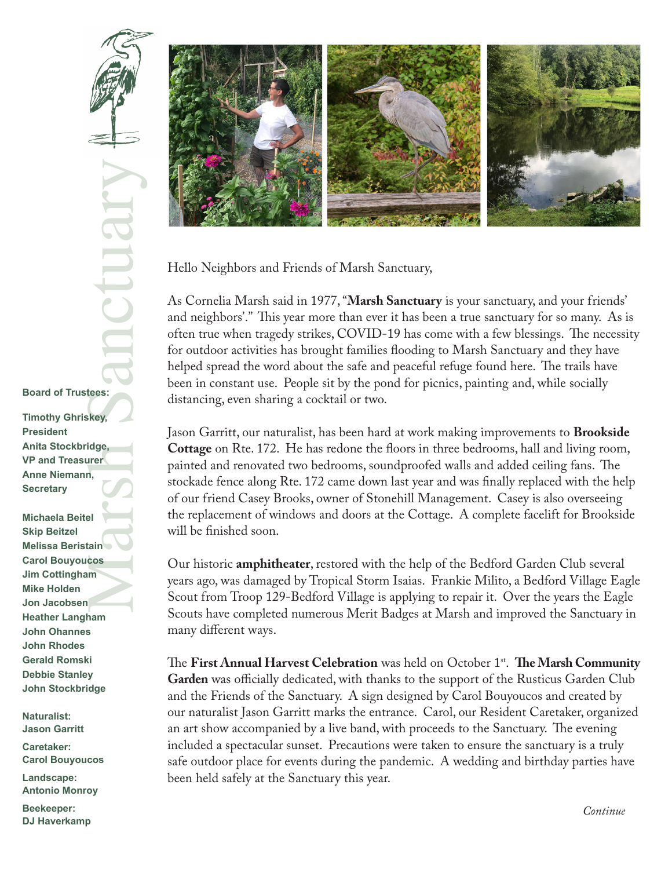Research Control Control Control Control Control Control Control Control Control Control Control Control Control Control Control Control Control Control Control Control Control Control Control Control Control Control Contr **Board of Trustees: Timothy Ghriskey, Anita Stockbridge,** 

**VP and Treasurer Anne Niemann, Secretary**

**President**

**Michaela Beitel Skip Beitzel Melissa Beristain Carol Bouyoucos Jim Cottingham Mike Holden Jon Jacobsen Heather Langham John Ohannes John Rhodes Gerald Romski Debbie Stanley John Stockbridge**

**Naturalist: Jason Garritt**

**Caretaker: Carol Bouyoucos**

**Landscape: Antonio Monroy**

**Beekeeper: DJ Haverkamp**



Hello Neighbors and Friends of Marsh Sanctuary,

As Cornelia Marsh said in 1977, "**Marsh Sanctuary** is your sanctuary, and your friends' and neighbors'." This year more than ever it has been a true sanctuary for so many. As is often true when tragedy strikes, COVID-19 has come with a few blessings. The necessity for outdoor activities has brought families flooding to Marsh Sanctuary and they have helped spread the word about the safe and peaceful refuge found here. The trails have been in constant use. People sit by the pond for picnics, painting and, while socially distancing, even sharing a cocktail or two.

Jason Garritt, our naturalist, has been hard at work making improvements to **Brookside Cottage** on Rte. 172. He has redone the floors in three bedrooms, hall and living room, painted and renovated two bedrooms, soundproofed walls and added ceiling fans. The stockade fence along Rte. 172 came down last year and was finally replaced with the help of our friend Casey Brooks, owner of Stonehill Management. Casey is also overseeing the replacement of windows and doors at the Cottage. A complete facelift for Brookside will be finished soon.

Our historic **amphitheater**, restored with the help of the Bedford Garden Club several years ago, was damaged by Tropical Storm Isaias. Frankie Milito, a Bedford Village Eagle Scout from Troop 129-Bedford Village is applying to repair it. Over the years the Eagle Scouts have completed numerous Merit Badges at Marsh and improved the Sanctuary in many different ways.

The **First Annual Harvest Celebration** was held on October 1<sup>st</sup>. **The Marsh Community Garden** was officially dedicated, with thanks to the support of the Rusticus Garden Club and the Friends of the Sanctuary. A sign designed by Carol Bouyoucos and created by our naturalist Jason Garritt marks the entrance. Carol, our Resident Caretaker, organized an art show accompanied by a live band, with proceeds to the Sanctuary. The evening included a spectacular sunset. Precautions were taken to ensure the sanctuary is a truly safe outdoor place for events during the pandemic. A wedding and birthday parties have been held safely at the Sanctuary this year.